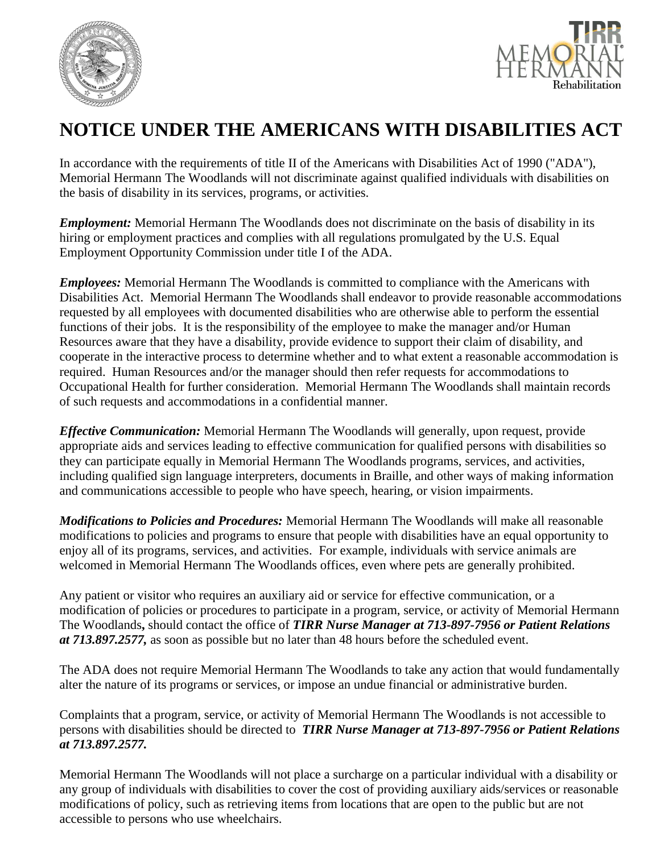



## **NOTICE UNDER THE AMERICANS WITH DISABILITIES ACT**

In accordance with the requirements of title II of the Americans with Disabilities Act of 1990 ("ADA"), Memorial Hermann The Woodlands will not discriminate against qualified individuals with disabilities on the basis of disability in its services, programs, or activities.

*Employment:* Memorial Hermann The Woodlands does not discriminate on the basis of disability in its hiring or employment practices and complies with all regulations promulgated by the U.S. Equal Employment Opportunity Commission under title I of the ADA.

*Employees:* Memorial Hermann The Woodlands is committed to compliance with the Americans with Disabilities Act. Memorial Hermann The Woodlands shall endeavor to provide reasonable accommodations requested by all employees with documented disabilities who are otherwise able to perform the essential functions of their jobs. It is the responsibility of the employee to make the manager and/or Human Resources aware that they have a disability, provide evidence to support their claim of disability, and cooperate in the interactive process to determine whether and to what extent a reasonable accommodation is required. Human Resources and/or the manager should then refer requests for accommodations to Occupational Health for further consideration. Memorial Hermann The Woodlands shall maintain records of such requests and accommodations in a confidential manner.

*Effective Communication:* Memorial Hermann The Woodlands will generally, upon request, provide appropriate aids and services leading to effective communication for qualified persons with disabilities so they can participate equally in Memorial Hermann The Woodlands programs, services, and activities, including qualified sign language interpreters, documents in Braille, and other ways of making information and communications accessible to people who have speech, hearing, or vision impairments.

*Modifications to Policies and Procedures:* Memorial Hermann The Woodlands will make all reasonable modifications to policies and programs to ensure that people with disabilities have an equal opportunity to enjoy all of its programs, services, and activities. For example, individuals with service animals are welcomed in Memorial Hermann The Woodlands offices, even where pets are generally prohibited.

Any patient or visitor who requires an auxiliary aid or service for effective communication, or a modification of policies or procedures to participate in a program, service, or activity of Memorial Hermann The Woodlands**,** should contact the office of *TIRR Nurse Manager at 713-897-7956 or Patient Relations at 713.897.2577,* as soon as possible but no later than 48 hours before the scheduled event.

The ADA does not require Memorial Hermann The Woodlands to take any action that would fundamentally alter the nature of its programs or services, or impose an undue financial or administrative burden.

Complaints that a program, service, or activity of Memorial Hermann The Woodlands is not accessible to persons with disabilities should be directed to *TIRR Nurse Manager at 713-897-7956 or Patient Relations at 713.897.2577.*

Memorial Hermann The Woodlands will not place a surcharge on a particular individual with a disability or any group of individuals with disabilities to cover the cost of providing auxiliary aids/services or reasonable modifications of policy, such as retrieving items from locations that are open to the public but are not accessible to persons who use wheelchairs.